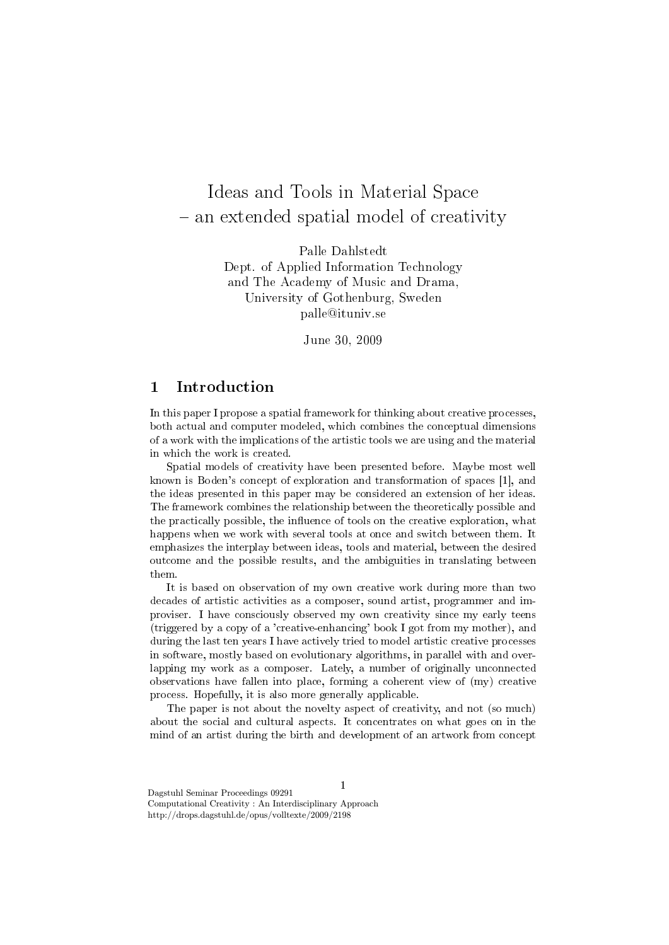# Ideas and Tools in Material Space an extended spatial model of creativity

Palle Dahlstedt Dept. of Applied Information Technology and The Academy of Music and Drama, University of Gothenburg, Sweden palle@ituniv.se

June 30, 2009

# 1 Introduction

In this paper I propose a spatial framework for thinking about creative processes, both actual and computer modeled, which combines the conceptual dimensions of a work with the implications of the artistic tools we are using and the material in which the work is created.

Spatial models of creativity have been presented before. Maybe most well known is Boden's concept of exploration and transformation of spaces [1], and the ideas presented in this paper may be considered an extension of her ideas. The framework combines the relationship between the theoretically possible and the practically possible, the influence of tools on the creative exploration, what happens when we work with several tools at once and switch between them. It emphasizes the interplay between ideas, tools and material, between the desired outcome and the possible results, and the ambiguities in translating between them.

It is based on observation of my own creative work during more than two decades of artistic activities as a composer, sound artist, programmer and improviser. I have consciously observed my own creativity since my early teens (triggered by a copy of a 'creative-enhancing' book I got from my mother), and during the last ten years I have actively tried to model artistic creative processes in software, mostly based on evolutionary algorithms, in parallel with and overlapping my work as a composer. Lately, a number of originally unconnected observations have fallen into place, forming a coherent view of (my) creative process. Hopefully, it is also more generally applicable.

The paper is not about the novelty aspect of creativity, and not (so much) about the social and cultural aspects. It concentrates on what goes on in the mind of an artist during the birth and development of an artwork from concept

1

Dagstuhl Seminar Proceedings 09291 Computational Creativity : An Interdisciplinary Approach http://drops.dagstuhl.de/opus/volltexte/2009/2198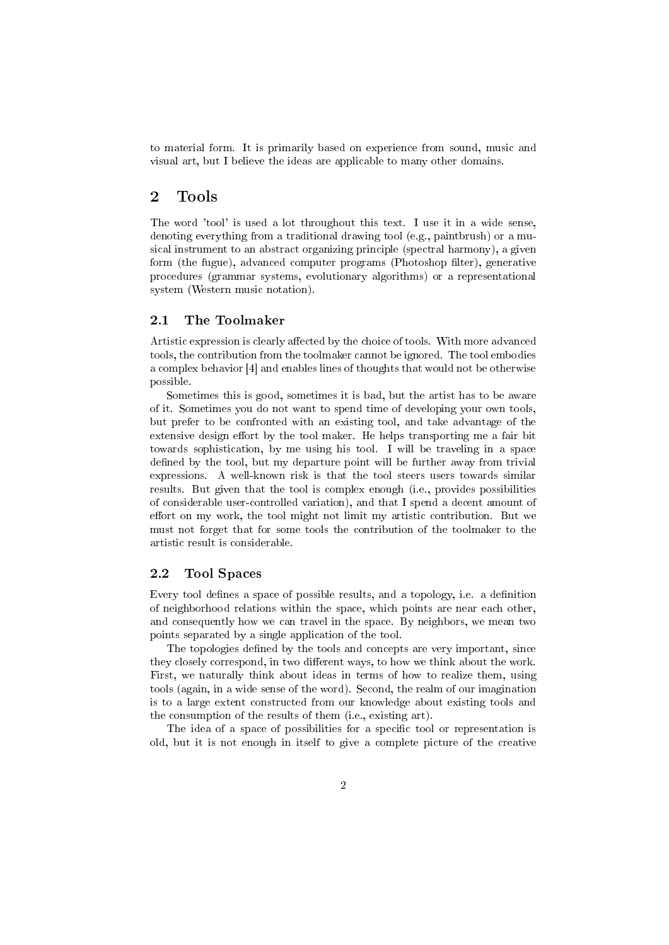to material form. It is primarily based on experience from sound, music and visual art, but I believe the ideas are applicable to many other domains.

## 2 Tools

The word 'tool' is used a lot throughout this text. I use it in a wide sense, denoting everything from a traditional drawing tool (e.g., paintbrush) or a musical instrument to an abstract organizing principle (spectral harmony), a given form (the fugue), advanced computer programs (Photoshop filter), generative procedures (grammar systems, evolutionary algorithms) or a representational system (Western music notation).

#### 2.1 The Toolmaker

Artistic expression is clearly affected by the choice of tools. With more advanced tools, the contribution from the toolmaker cannot be ignored. The tool embodies a complex behavior [4] and enables lines of thoughts that would not be otherwise possible.

Sometimes this is good, sometimes it is bad, but the artist has to be aware of it. Sometimes you do not want to spend time of developing your own tools, but prefer to be confronted with an existing tool, and take advantage of the extensive design effort by the tool maker. He helps transporting me a fair bit towards sophistication, by me using his tool. I will be traveling in a space defined by the tool, but my departure point will be further away from trivial expressions. A well-known risk is that the tool steers users towards similar results. But given that the tool is complex enough (i.e., provides possibilities of considerable user-controlled variation), and that I spend a decent amount of effort on my work, the tool might not limit my artistic contribution. But we must not forget that for some tools the contribution of the toolmaker to the artistic result is considerable.

#### 2.2 Tool Spaces

Every tool defines a space of possible results, and a topology, i.e. a definition of neighborhood relations within the space, which points are near each other, and consequently how we can travel in the space. By neighbors, we mean two points separated by a single application of the tool.

The topologies defined by the tools and concepts are very important, since they closely correspond, in two different ways, to how we think about the work. First, we naturally think about ideas in terms of how to realize them, using tools (again, in a wide sense of the word). Second, the realm of our imagination is to a large extent constructed from our knowledge about existing tools and the consumption of the results of them (i.e., existing art).

The idea of a space of possibilities for a specific tool or representation is old, but it is not enough in itself to give a complete picture of the creative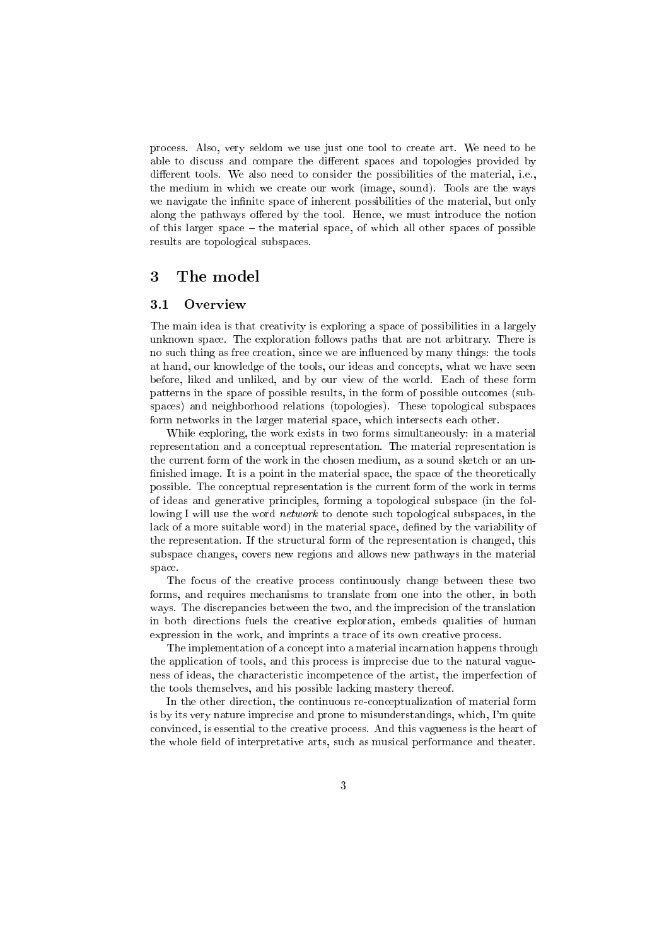process. Also, very seldom we use just one tool to create art. We need to be able to discuss and compare the different spaces and topologies provided by different tools. We also need to consider the possibilities of the material, i.e., the medium in which we create our work (image, sound). Tools are the ways we navigate the infinite space of inherent possibilities of the material, but only along the pathways offered by the tool. Hence, we must introduce the notion of this larger space  $-$  the material space, of which all other spaces of possible results are topological subspaces.

## 3 The model

#### 3.1 Overview

The main idea is that creativity is exploring a space of possibilities in a largely unknown space. The exploration follows paths that are not arbitrary. There is no such thing as free creation, since we are influenced by many things: the tools at hand, our knowledge of the tools, our ideas and concepts, what we have seen before, liked and unliked, and by our view of the world. Each of these form patterns in the space of possible results, in the form of possible outcomes (subspaces) and neighborhood relations (topologies). These topological subspaces form networks in the larger material space, which intersects each other.

While exploring, the work exists in two forms simultaneously: in a material representation and a conceptual representation. The material representation is the current form of the work in the chosen medium, as a sound sketch or an un finished image. It is a point in the material space, the space of the theoretically possible. The conceptual representation is the current form of the work in terms of ideas and generative principles, forming a topological subspace (in the following I will use the word network to denote such topological subspaces, in the lack of a more suitable word) in the material space, defined by the variability of the representation. If the structural form of the representation is changed, this subspace changes, covers new regions and allows new pathways in the material space.

The focus of the creative process continuously change between these two forms, and requires mechanisms to translate from one into the other, in both ways. The discrepancies between the two, and the imprecision of the translation in both directions fuels the creative exploration, embeds qualities of human expression in the work, and imprints a trace of its own creative process.

The implementation of a concept into a material incarnation happens through the application of tools, and this process is imprecise due to the natural vagueness of ideas, the characteristic incompetence of the artist, the imperfection of the tools themselves, and his possible lacking mastery thereof.

In the other direction, the continuous re-conceptualization of material form is by its very nature imprecise and prone to misunderstandings, which, I'm quite convinced, is essential to the creative process. And this vagueness is the heart of the whole field of interpretative arts, such as musical performance and theater.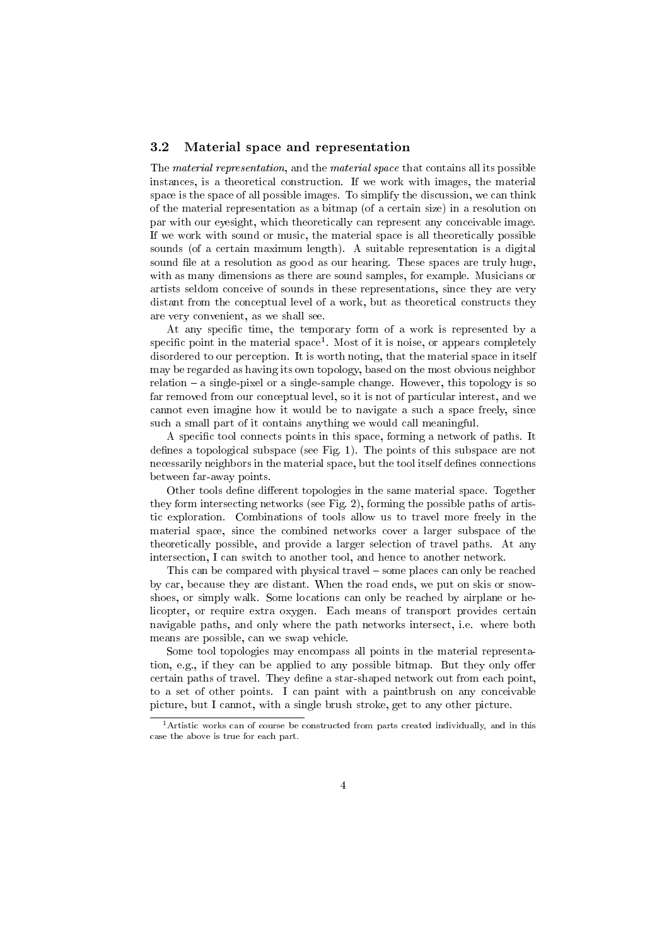#### 3.2 Material space and representation

The material representation, and the material space that contains all its possible instances, is a theoretical construction. If we work with images, the material space is the space of all possible images. To simplify the discussion, we can think of the material representation as a bitmap (of a certain size) in a resolution on par with our eyesight, which theoretically can represent any conceivable image. If we work with sound or music, the material space is all theoretically possible sounds (of a certain maximum length). A suitable representation is a digital sound file at a resolution as good as our hearing. These spaces are truly huge, with as many dimensions as there are sound samples, for example. Musicians or artists seldom conceive of sounds in these representations, since they are very distant from the conceptual level of a work, but as theoretical constructs they are very convenient, as we shall see.

At any specific time, the temporary form of a work is represented by a specific point in the material space<sup>1</sup>. Most of it is noise, or appears completely disordered to our perception. It is worth noting, that the material space in itself may be regarded as having its own topology, based on the most obvious neighbor  $relation - a single-pixel or a single-sample change. However, this topology is so$ far removed from our conceptual level, so it is not of particular interest, and we cannot even imagine how it would be to navigate a such a space freely, since such a small part of it contains anything we would call meaningful.

A specific tool connects points in this space, forming a network of paths. It defines a topological subspace (see Fig. 1). The points of this subspace are not necessarily neighbors in the material space, but the tool itself defines connections between far-away points.

Other tools define different topologies in the same material space. Together they form intersecting networks (see Fig. 2), forming the possible paths of artistic exploration. Combinations of tools allow us to travel more freely in the material space, since the combined networks cover a larger subspace of the theoretically possible, and provide a larger selection of travel paths. At any intersection, I can switch to another tool, and hence to another network.

This can be compared with physical travel - some places can only be reached by car, because they are distant. When the road ends, we put on skis or snowshoes, or simply walk. Some locations can only be reached by airplane or helicopter, or require extra oxygen. Each means of transport provides certain navigable paths, and only where the path networks intersect, i.e. where both means are possible, can we swap vehicle.

Some tool topologies may encompass all points in the material representation, e.g., if they can be applied to any possible bitmap. But they only offer certain paths of travel. They define a star-shaped network out from each point, to a set of other points. I can paint with a paintbrush on any conceivable picture, but I cannot, with a single brush stroke, get to any other picture.

<sup>1</sup>Artistic works can of course be constructed from parts created individually, and in this case the above is true for each part.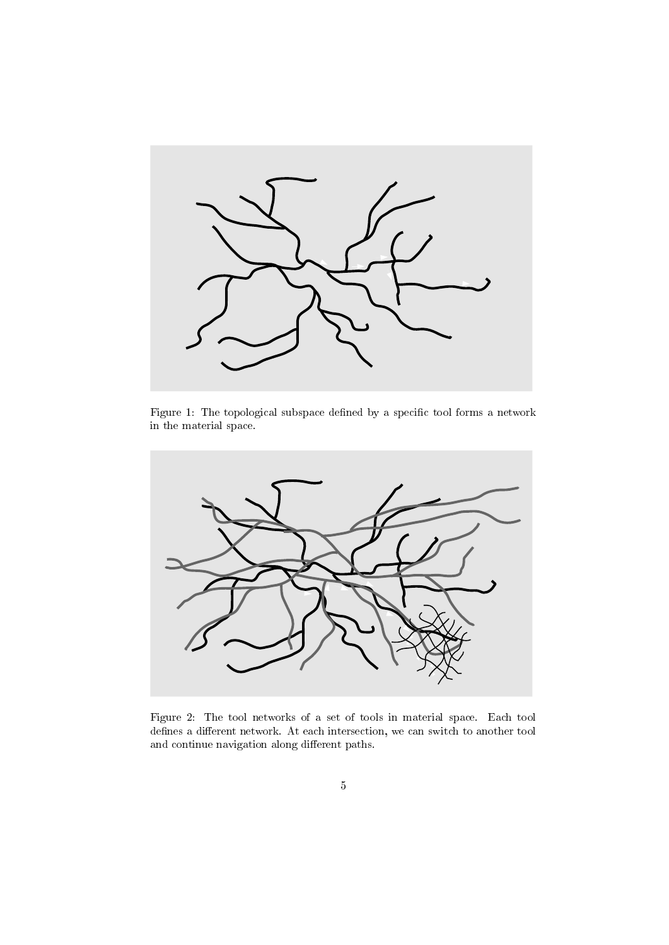

Figure 1: The topological subspace defined by a specific tool forms a network in the material space.



Figure 2: The tool networks of a set of tools in material space. Each tool defines a different network. At each intersection, we can switch to another tool and continue navigation along different paths.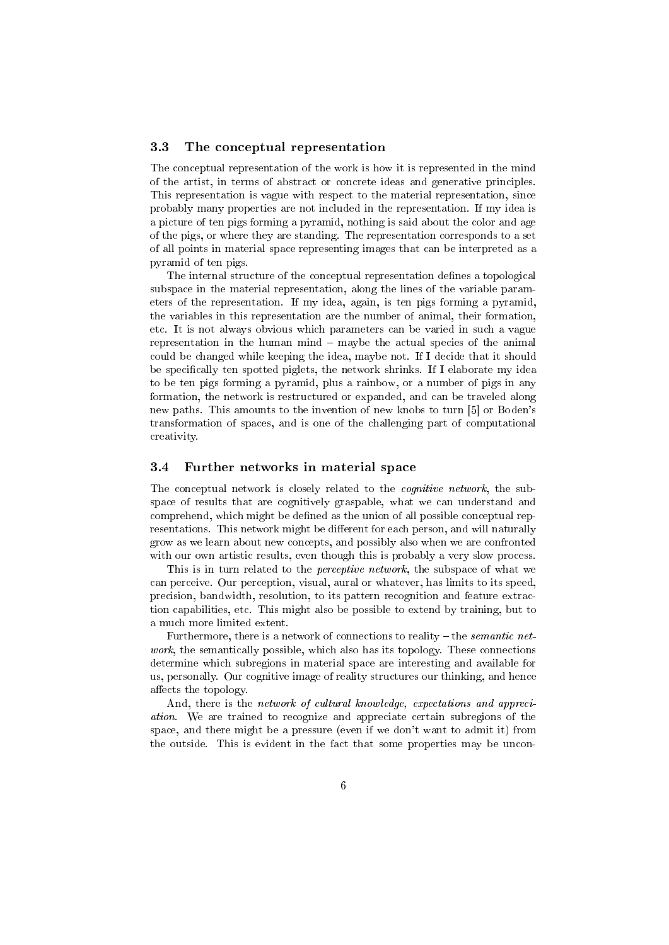#### 3.3 The conceptual representation

The conceptual representation of the work is how it is represented in the mind of the artist, in terms of abstract or concrete ideas and generative principles. This representation is vague with respect to the material representation, since probably many properties are not included in the representation. If my idea is a picture of ten pigs forming a pyramid, nothing is said about the color and age of the pigs, or where they are standing. The representation corresponds to a set of all points in material space representing images that can be interpreted as a pyramid of ten pigs.

The internal structure of the conceptual representation defines a topological subspace in the material representation, along the lines of the variable parameters of the representation. If my idea, again, is ten pigs forming a pyramid, the variables in this representation are the number of animal, their formation, etc. It is not always obvious which parameters can be varied in such a vague representation in the human mind  $-$  maybe the actual species of the animal could be changed while keeping the idea, maybe not. If I decide that it should be specifically ten spotted piglets, the network shrinks. If I elaborate my idea to be ten pigs forming a pyramid, plus a rainbow, or a number of pigs in any formation, the network is restructured or expanded, and can be traveled along new paths. This amounts to the invention of new knobs to turn [5] or Boden's transformation of spaces, and is one of the challenging part of computational creativity.

#### 3.4 Further networks in material space

The conceptual network is closely related to the *cognitive network*, the subspace of results that are cognitively graspable, what we can understand and comprehend, which might be defined as the union of all possible conceptual representations. This network might be different for each person, and will naturally grow as we learn about new concepts, and possibly also when we are confronted with our own artistic results, even though this is probably a very slow process.

This is in turn related to the *perceptive network*, the subspace of what we can perceive. Our perception, visual, aural or whatever, has limits to its speed, precision, bandwidth, resolution, to its pattern recognition and feature extraction capabilities, etc. This might also be possible to extend by training, but to a much more limited extent.

Furthermore, there is a network of connections to reality  $-$  the *semantic net*work, the semantically possible, which also has its topology. These connections determine which subregions in material space are interesting and available for us, personally. Our cognitive image of reality structures our thinking, and hence affects the topology.

And, there is the network of cultural knowledge, expectations and appreciation. We are trained to recognize and appreciate certain subregions of the space, and there might be a pressure (even if we don't want to admit it) from the outside. This is evident in the fact that some properties may be uncon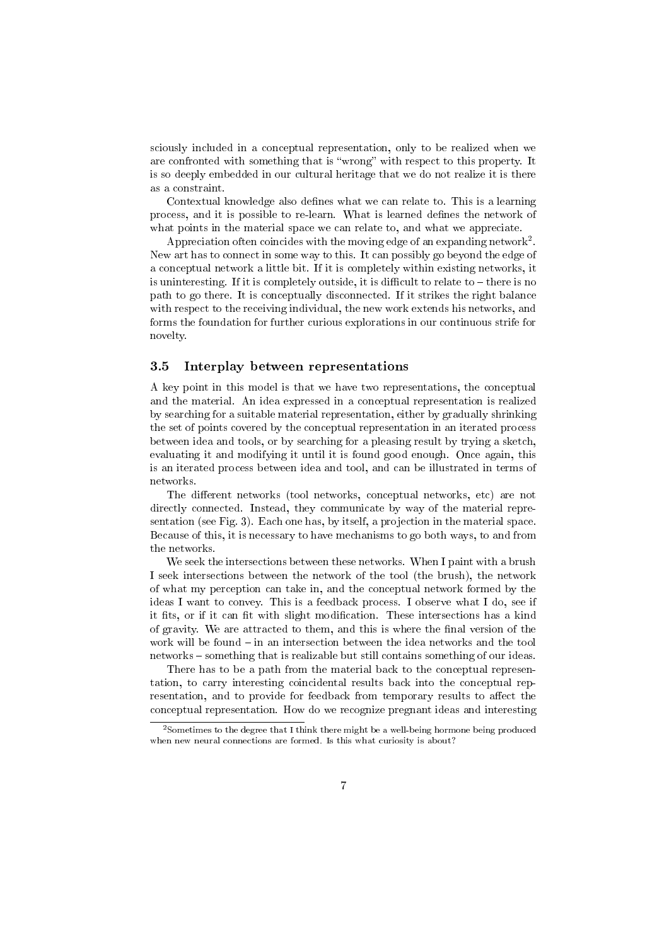sciously included in a conceptual representation, only to be realized when we are confronted with something that is "wrong" with respect to this property. It is so deeply embedded in our cultural heritage that we do not realize it is there as a constraint.

Contextual knowledge also defines what we can relate to. This is a learning process, and it is possible to re-learn. What is learned defines the network of what points in the material space we can relate to, and what we appreciate.

Appreciation often coincides with the moving edge of an expanding network<sup>2</sup>. New art has to connect in some way to this. It can possibly go beyond the edge of a conceptual network a little bit. If it is completely within existing networks, it is uninteresting. If it is completely outside, it is difficult to relate to  $-$  there is no path to go there. It is conceptually disconnected. If it strikes the right balance with respect to the receiving individual, the new work extends his networks, and forms the foundation for further curious explorations in our continuous strife for novelty.

## 3.5 Interplay between representations

A key point in this model is that we have two representations, the conceptual and the material. An idea expressed in a conceptual representation is realized by searching for a suitable material representation, either by gradually shrinking the set of points covered by the conceptual representation in an iterated process between idea and tools, or by searching for a pleasing result by trying a sketch, evaluating it and modifying it until it is found good enough. Once again, this is an iterated process between idea and tool, and can be illustrated in terms of networks.

The different networks (tool networks, conceptual networks, etc) are not directly connected. Instead, they communicate by way of the material representation (see Fig. 3). Each one has, by itself, a projection in the material space. Because of this, it is necessary to have mechanisms to go both ways, to and from the networks.

We seek the intersections between these networks. When I paint with a brush I seek intersections between the network of the tool (the brush), the network of what my perception can take in, and the conceptual network formed by the ideas I want to convey. This is a feedback process. I observe what I do, see if it fits, or if it can fit with slight modification. These intersections has a kind of gravity. We are attracted to them, and this is where the final version of the work will be found  $-$  in an intersection between the idea networks and the tool networks - something that is realizable but still contains something of our ideas.

There has to be a path from the material back to the conceptual representation, to carry interesting coincidental results back into the conceptual representation, and to provide for feedback from temporary results to affect the conceptual representation. How do we recognize pregnant ideas and interesting

<sup>&</sup>lt;sup>2</sup> Sometimes to the degree that I think there might be a well-being hormone being produced when new neural connections are formed. Is this what curiosity is about?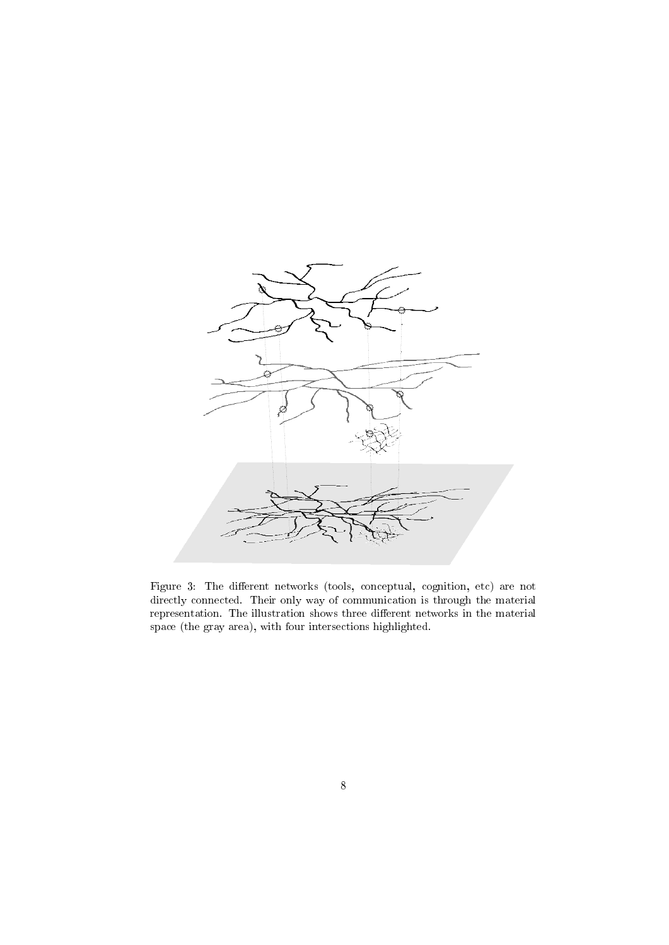

Figure 3: The different networks (tools, conceptual, cognition, etc) are not directly connected. Their only way of communication is through the material representation. The illustration shows three different networks in the material space (the gray area), with four intersections highlighted.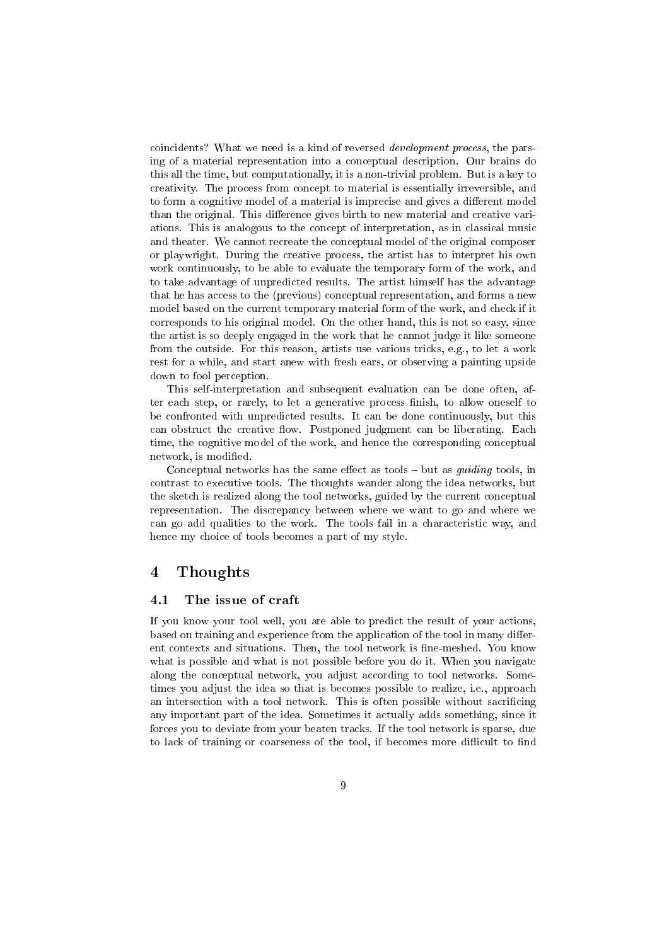coincidents? What we need is a kind of reversed development process, the parsing of a material representation into a conceptual description. Our brains do this all the time, but computationally, it is a non-trivial problem. But is a key to creativity. The process from concept to material is essentially irreversible, and to form a cognitive model of a material is imprecise and gives a different model than the original. This difference gives birth to new material and creative variations. This is analogous to the concept of interpretation, as in classical music and theater. We cannot recreate the conceptual model of the original composer or playwright. During the creative process, the artist has to interpret his own work continuously, to be able to evaluate the temporary form of the work, and to take advantage of unpredicted results. The artist himself has the advantage that he has access to the (previous) conceptual representation, and forms a new model based on the current temporary material form of the work, and check if it corresponds to his original model. On the other hand, this is not so easy, since the artist is so deeply engaged in the work that he cannot judge it like someone from the outside. For this reason, artists use various tricks, e.g., to let a work rest for a while, and start anew with fresh ears, or observing a painting upside down to fool perception.

This self-interpretation and subsequent evaluation can be done often, after each step, or rarely, to let a generative process finish, to allow oneself to be confronted with unpredicted results. It can be done continuously, but this can obstruct the creative flow. Postponed judgment can be liberating. Each time, the cognitive model of the work, and hence the corresponding conceptual network, is modified.

Conceptual networks has the same effect as tools  $-$  but as *quiding* tools, in contrast to executive tools. The thoughts wander along the idea networks, but the sketch is realized along the tool networks, guided by the current conceptual representation. The discrepancy between where we want to go and where we can go add qualities to the work. The tools fail in a characteristic way, and hence my choice of tools becomes a part of my style.

## 4 Thoughts

## 4.1 The issue of craft

If you know your tool well, you are able to predict the result of your actions, based on training and experience from the application of the tool in many different contexts and situations. Then, the tool network is fine-meshed. You know what is possible and what is not possible before you do it. When you navigate along the conceptual network, you adjust according to tool networks. Sometimes you adjust the idea so that is becomes possible to realize, i.e., approach an intersection with a tool network. This is often possible without sacricing any important part of the idea. Sometimes it actually adds something, since it forces you to deviate from your beaten tracks. If the tool network is sparse, due to lack of training or coarseness of the tool, if becomes more difficult to find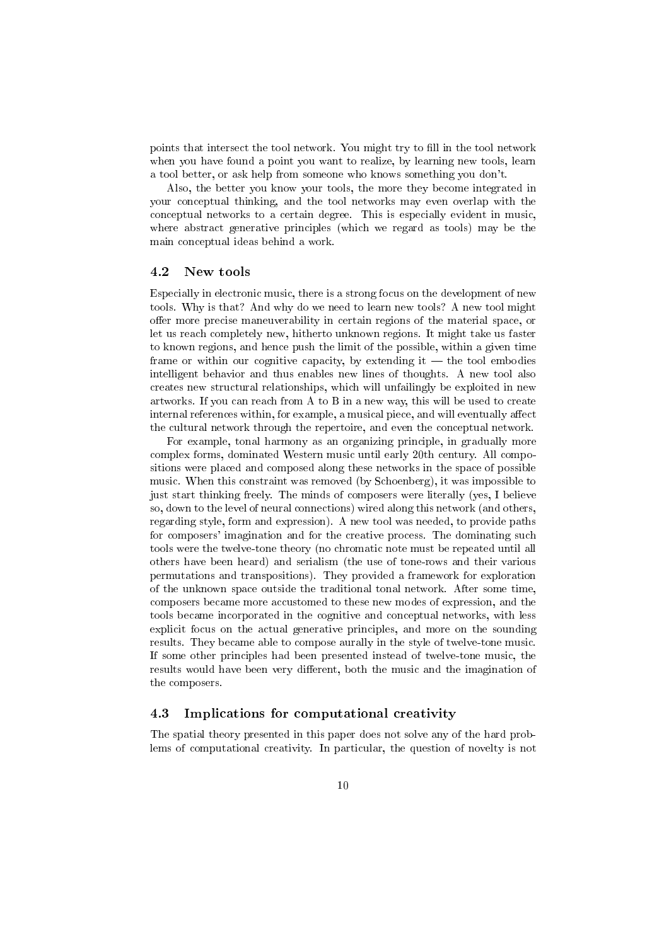points that intersect the tool network. You might try to fill in the tool network when you have found a point you want to realize, by learning new tools, learn a tool better, or ask help from someone who knows something you don't.

Also, the better you know your tools, the more they become integrated in your conceptual thinking, and the tool networks may even overlap with the conceptual networks to a certain degree. This is especially evident in music, where abstract generative principles (which we regard as tools) may be the main conceptual ideas behind a work.

#### 4.2 New tools

Especially in electronic music, there is a strong focus on the development of new tools. Why is that? And why do we need to learn new tools? A new tool might offer more precise maneuverability in certain regions of the material space, or let us reach completely new, hitherto unknown regions. It might take us faster to known regions, and hence push the limit of the possible, within a given time frame or within our cognitive capacity, by extending it  $-$  the tool embodies intelligent behavior and thus enables new lines of thoughts. A new tool also creates new structural relationships, which will unfailingly be exploited in new artworks. If you can reach from A to B in a new way, this will be used to create internal references within, for example, a musical piece, and will eventually affect the cultural network through the repertoire, and even the conceptual network.

For example, tonal harmony as an organizing principle, in gradually more complex forms, dominated Western music until early 20th century. All compositions were placed and composed along these networks in the space of possible music. When this constraint was removed (by Schoenberg), it was impossible to just start thinking freely. The minds of composers were literally (yes, I believe so, down to the level of neural connections) wired along this network (and others, regarding style, form and expression). A new tool was needed, to provide paths for composers' imagination and for the creative process. The dominating such tools were the twelve-tone theory (no chromatic note must be repeated until all others have been heard) and serialism (the use of tone-rows and their various permutations and transpositions). They provided a framework for exploration of the unknown space outside the traditional tonal network. After some time, composers became more accustomed to these new modes of expression, and the tools became incorporated in the cognitive and conceptual networks, with less explicit focus on the actual generative principles, and more on the sounding results. They became able to compose aurally in the style of twelve-tone music. If some other principles had been presented instead of twelve-tone music, the results would have been very different, both the music and the imagination of the composers.

## 4.3 Implications for computational creativity

The spatial theory presented in this paper does not solve any of the hard problems of computational creativity. In particular, the question of novelty is not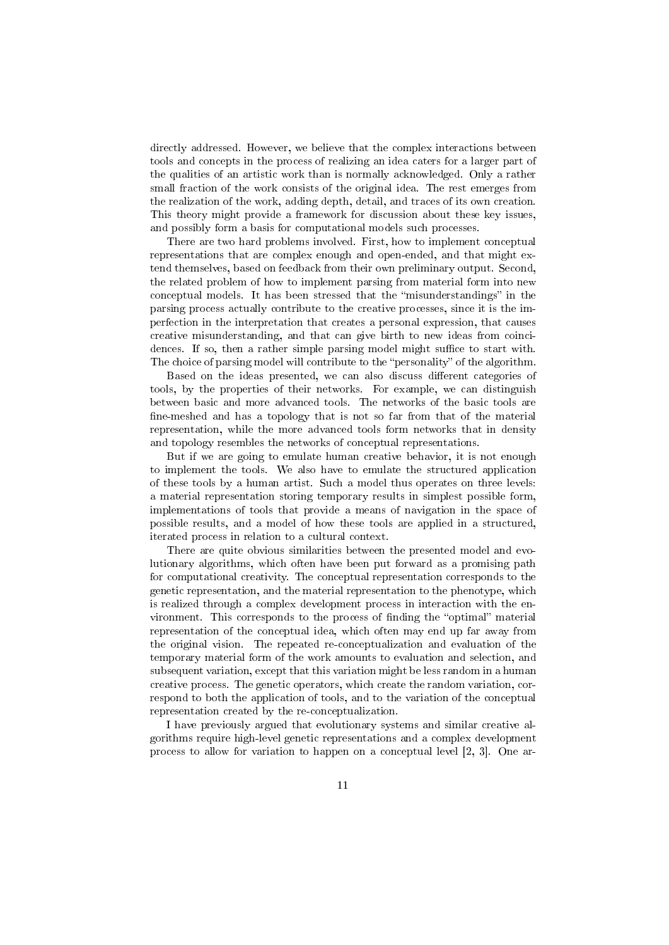directly addressed. However, we believe that the complex interactions between tools and concepts in the process of realizing an idea caters for a larger part of the qualities of an artistic work than is normally acknowledged. Only a rather small fraction of the work consists of the original idea. The rest emerges from the realization of the work, adding depth, detail, and traces of its own creation. This theory might provide a framework for discussion about these key issues, and possibly form a basis for computational models such processes.

There are two hard problems involved. First, how to implement conceptual representations that are complex enough and open-ended, and that might extend themselves, based on feedback from their own preliminary output. Second, the related problem of how to implement parsing from material form into new conceptual models. It has been stressed that the "misunderstandings" in the parsing process actually contribute to the creative processes, since it is the imperfection in the interpretation that creates a personal expression, that causes creative misunderstanding, and that can give birth to new ideas from coincidences. If so, then a rather simple parsing model might suffice to start with. The choice of parsing model will contribute to the "personality" of the algorithm.

Based on the ideas presented, we can also discuss different categories of tools, by the properties of their networks. For example, we can distinguish between basic and more advanced tools. The networks of the basic tools are fine-meshed and has a topology that is not so far from that of the material representation, while the more advanced tools form networks that in density and topology resembles the networks of conceptual representations.

But if we are going to emulate human creative behavior, it is not enough to implement the tools. We also have to emulate the structured application of these tools by a human artist. Such a model thus operates on three levels: a material representation storing temporary results in simplest possible form, implementations of tools that provide a means of navigation in the space of possible results, and a model of how these tools are applied in a structured, iterated process in relation to a cultural context.

There are quite obvious similarities between the presented model and evolutionary algorithms, which often have been put forward as a promising path for computational creativity. The conceptual representation corresponds to the genetic representation, and the material representation to the phenotype, which is realized through a complex development process in interaction with the environment. This corresponds to the process of finding the "optimal" material representation of the conceptual idea, which often may end up far away from the original vision. The repeated re-conceptualization and evaluation of the temporary material form of the work amounts to evaluation and selection, and subsequent variation, except that this variation might be less random in a human creative process. The genetic operators, which create the random variation, correspond to both the application of tools, and to the variation of the conceptual representation created by the re-conceptualization.

I have previously argued that evolutionary systems and similar creative algorithms require high-level genetic representations and a complex development process to allow for variation to happen on a conceptual level [2, 3]. One ar-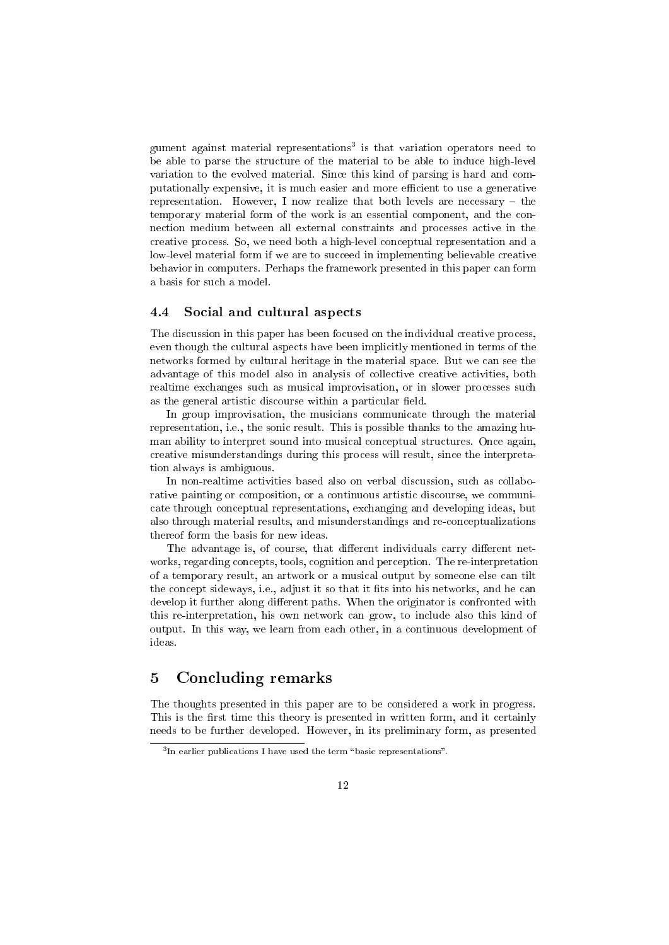gument against material representations<sup>3</sup> is that variation operators need to be able to parse the structure of the material to be able to induce high-level variation to the evolved material. Since this kind of parsing is hard and computationally expensive, it is much easier and more efficient to use a generative representation. However, I now realize that both levels are necessary  $-$  the temporary material form of the work is an essential component, and the connection medium between all external constraints and processes active in the creative process. So, we need both a high-level conceptual representation and a low-level material form if we are to succeed in implementing believable creative behavior in computers. Perhaps the framework presented in this paper can form a basis for such a model.

### 4.4 Social and cultural aspects

The discussion in this paper has been focused on the individual creative process, even though the cultural aspects have been implicitly mentioned in terms of the networks formed by cultural heritage in the material space. But we can see the advantage of this model also in analysis of collective creative activities, both realtime exchanges such as musical improvisation, or in slower processes such as the general artistic discourse within a particular field.

In group improvisation, the musicians communicate through the material representation, i.e., the sonic result. This is possible thanks to the amazing human ability to interpret sound into musical conceptual structures. Once again, creative misunderstandings during this process will result, since the interpretation always is ambiguous.

In non-realtime activities based also on verbal discussion, such as collaborative painting or composition, or a continuous artistic discourse, we communicate through conceptual representations, exchanging and developing ideas, but also through material results, and misunderstandings and re-conceptualizations thereof form the basis for new ideas.

The advantage is, of course, that different individuals carry different networks, regarding concepts, tools, cognition and perception. The re-interpretation of a temporary result, an artwork or a musical output by someone else can tilt the concept sideways, i.e., adjust it so that it fits into his networks, and he can develop it further along different paths. When the originator is confronted with this re-interpretation, his own network can grow, to include also this kind of output. In this way, we learn from each other, in a continuous development of ideas.

## 5 Concluding remarks

The thoughts presented in this paper are to be considered a work in progress. This is the first time this theory is presented in written form, and it certainly needs to be further developed. However, in its preliminary form, as presented

 $3$ In earlier publications I have used the term "basic representations".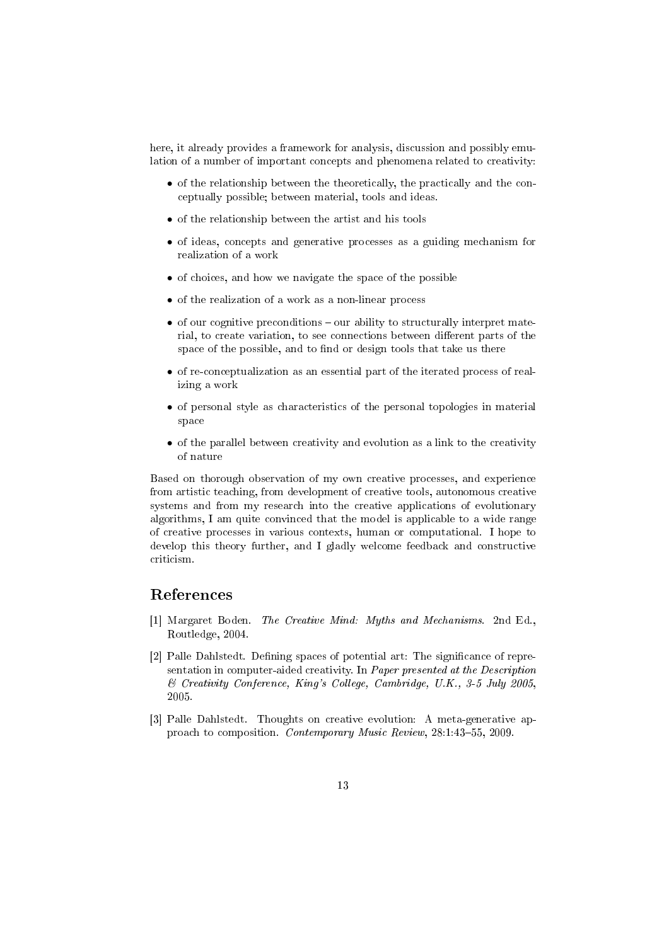here, it already provides a framework for analysis, discussion and possibly emulation of a number of important concepts and phenomena related to creativity:

- of the relationship between the theoretically, the practically and the conceptually possible; between material, tools and ideas.
- *•* of the relationship between the artist and his tools
- of ideas, concepts and generative processes as a guiding mechanism for realization of a work
- of choices, and how we navigate the space of the possible
- *•* of the realization of a work as a non-linear process
- of our cognitive preconditions our ability to structurally interpret material, to create variation, to see connections between different parts of the space of the possible, and to find or design tools that take us there
- of re-conceptualization as an essential part of the iterated process of realizing a work
- of personal style as characteristics of the personal topologies in material space
- of the parallel between creativity and evolution as a link to the creativity of nature

Based on thorough observation of my own creative processes, and experience from artistic teaching, from development of creative tools, autonomous creative systems and from my research into the creative applications of evolutionary algorithms, I am quite convinced that the model is applicable to a wide range of creative processes in various contexts, human or computational. I hope to develop this theory further, and I gladly welcome feedback and constructive criticism.

## References

- [1] Margaret Boden. The Creative Mind: Myths and Mechanisms. 2nd Ed., Routledge, 2004.
- [2] Palle Dahlstedt. Defining spaces of potential art: The significance of representation in computer-aided creativity. In Paper presented at the Description & Creativity Conference, King's College, Cambridge, U.K., 3-5 July 2005, 2005.
- [3] Palle Dahlstedt. Thoughts on creative evolution: A meta-generative approach to composition. Contemporary Music Review, 28:1:43-55, 2009.